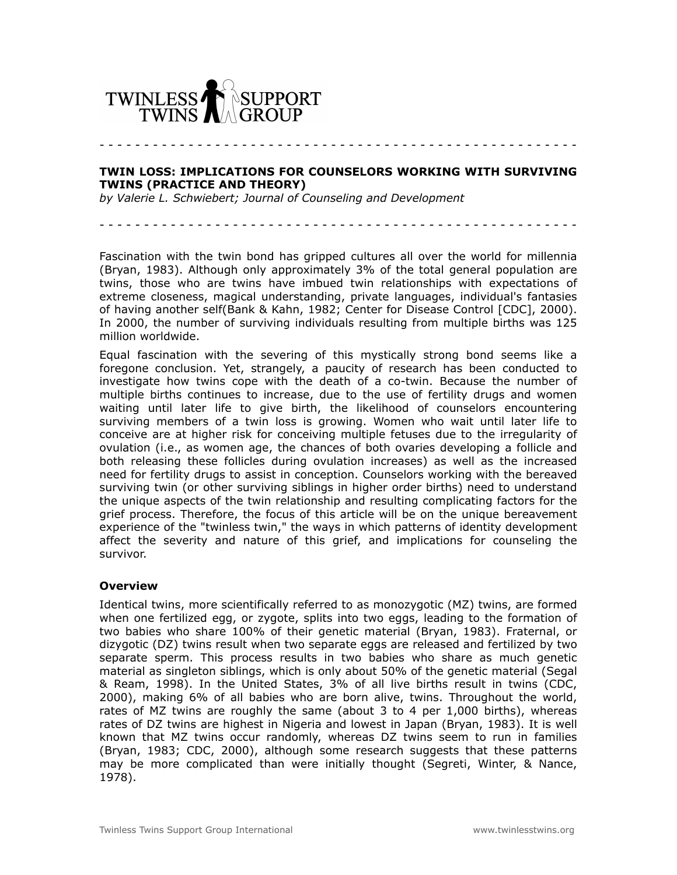

### **TWIN LOSS: IMPLICATIONS FOR COUNSELORS WORKING WITH SURVIVING TWINS (PRACTICE AND THEORY)**

- - - - - - - - - - - - - - - - - - - - - - - - - - - - - - - - - - - - - - - - - - - - - - - - - - - - - -

*by Valerie L. Schwiebert; Journal of Counseling and Development*

Fascination with the twin bond has gripped cultures all over the world for millennia (Bryan, 1983). Although only approximately 3% of the total general population are twins, those who are twins have imbued twin relationships with expectations of extreme closeness, magical understanding, private languages, individual's fantasies of having another self(Bank & Kahn, 1982; Center for Disease Control [CDC], 2000). In 2000, the number of surviving individuals resulting from multiple births was 125 million worldwide.

Equal fascination with the severing of this mystically strong bond seems like a foregone conclusion. Yet, strangely, a paucity of research has been conducted to investigate how twins cope with the death of a co-twin. Because the number of multiple births continues to increase, due to the use of fertility drugs and women waiting until later life to give birth, the likelihood of counselors encountering surviving members of a twin loss is growing. Women who wait until later life to conceive are at higher risk for conceiving multiple fetuses due to the irregularity of ovulation (i.e., as women age, the chances of both ovaries developing a follicle and both releasing these follicles during ovulation increases) as well as the increased need for fertility drugs to assist in conception. Counselors working with the bereaved surviving twin (or other surviving siblings in higher order births) need to understand the unique aspects of the twin relationship and resulting complicating factors for the grief process. Therefore, the focus of this article will be on the unique bereavement experience of the "twinless twin," the ways in which patterns of identity development affect the severity and nature of this grief, and implications for counseling the survivor.

### **Overview**

Identical twins, more scientifically referred to as monozygotic (MZ) twins, are formed when one fertilized egg, or zygote, splits into two eggs, leading to the formation of two babies who share 100% of their genetic material (Bryan, 1983). Fraternal, or dizygotic (DZ) twins result when two separate eggs are released and fertilized by two separate sperm. This process results in two babies who share as much genetic material as singleton siblings, which is only about 50% of the genetic material (Segal & Ream, 1998). In the United States, 3% of all live births result in twins (CDC, 2000), making 6% of all babies who are born alive, twins. Throughout the world, rates of MZ twins are roughly the same (about 3 to 4 per 1,000 births), whereas rates of DZ twins are highest in Nigeria and lowest in Japan (Bryan, 1983). It is well known that MZ twins occur randomly, whereas DZ twins seem to run in families (Bryan, 1983; CDC, 2000), although some research suggests that these patterns may be more complicated than were initially thought (Segreti, Winter, & Nance, 1978).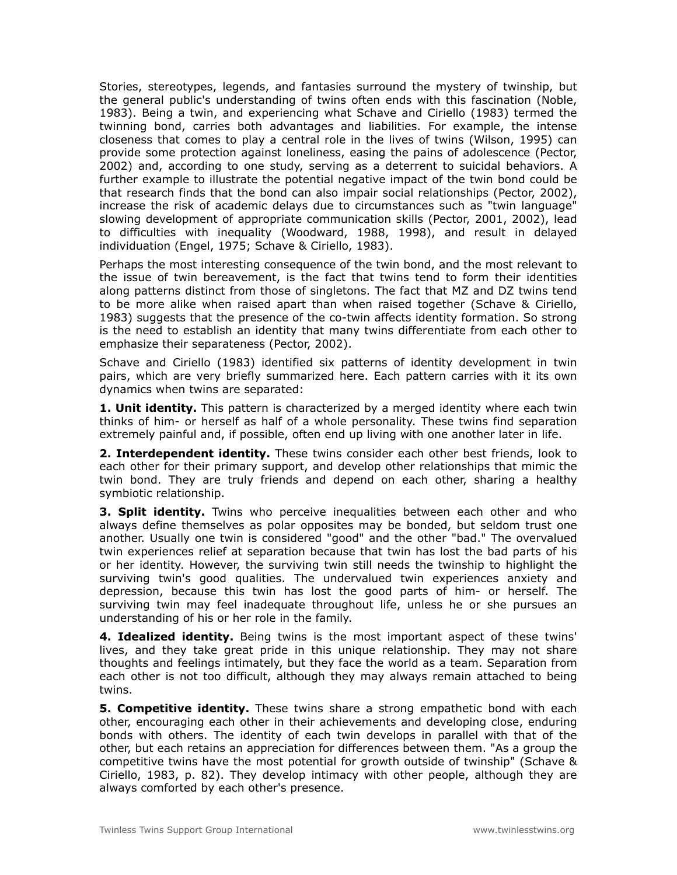Stories, stereotypes, legends, and fantasies surround the mystery of twinship, but the general public's understanding of twins often ends with this fascination (Noble, 1983). Being a twin, and experiencing what Schave and Ciriello (1983) termed the twinning bond, carries both advantages and liabilities. For example, the intense closeness that comes to play a central role in the lives of twins (Wilson, 1995) can provide some protection against loneliness, easing the pains of adolescence (Pector, 2002) and, according to one study, serving as a deterrent to suicidal behaviors. A further example to illustrate the potential negative impact of the twin bond could be that research finds that the bond can also impair social relationships (Pector, 2002), increase the risk of academic delays due to circumstances such as "twin language" slowing development of appropriate communication skills (Pector, 2001, 2002), lead to difficulties with inequality (Woodward, 1988, 1998), and result in delayed individuation (Engel, 1975; Schave & Ciriello, 1983).

Perhaps the most interesting consequence of the twin bond, and the most relevant to the issue of twin bereavement, is the fact that twins tend to form their identities along patterns distinct from those of singletons. The fact that MZ and DZ twins tend to be more alike when raised apart than when raised together (Schave & Ciriello, 1983) suggests that the presence of the co-twin affects identity formation. So strong is the need to establish an identity that many twins differentiate from each other to emphasize their separateness (Pector, 2002).

Schave and Ciriello (1983) identified six patterns of identity development in twin pairs, which are very briefly summarized here. Each pattern carries with it its own dynamics when twins are separated:

**1. Unit identity.** This pattern is characterized by a merged identity where each twin thinks of him- or herself as half of a whole personality. These twins find separation extremely painful and, if possible, often end up living with one another later in life.

**2. Interdependent identity.** These twins consider each other best friends, look to each other for their primary support, and develop other relationships that mimic the twin bond. They are truly friends and depend on each other, sharing a healthy symbiotic relationship.

**3. Split identity.** Twins who perceive inequalities between each other and who always define themselves as polar opposites may be bonded, but seldom trust one another. Usually one twin is considered "good" and the other "bad." The overvalued twin experiences relief at separation because that twin has lost the bad parts of his or her identity. However, the surviving twin still needs the twinship to highlight the surviving twin's good qualities. The undervalued twin experiences anxiety and depression, because this twin has lost the good parts of him- or herself. The surviving twin may feel inadequate throughout life, unless he or she pursues an understanding of his or her role in the family.

**4. Idealized identity.** Being twins is the most important aspect of these twins' lives, and they take great pride in this unique relationship. They may not share thoughts and feelings intimately, but they face the world as a team. Separation from each other is not too difficult, although they may always remain attached to being twins.

**5. Competitive identity.** These twins share a strong empathetic bond with each other, encouraging each other in their achievements and developing close, enduring bonds with others. The identity of each twin develops in parallel with that of the other, but each retains an appreciation for differences between them. "As a group the competitive twins have the most potential for growth outside of twinship" (Schave & Ciriello, 1983, p. 82). They develop intimacy with other people, although they are always comforted by each other's presence.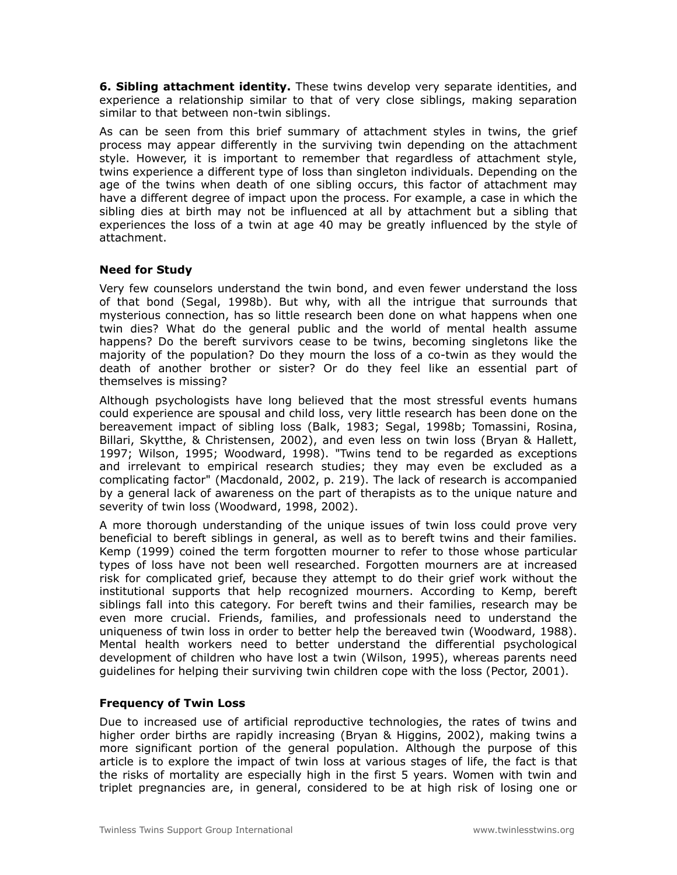**6. Sibling attachment identity.** These twins develop very separate identities, and experience a relationship similar to that of very close siblings, making separation similar to that between non-twin siblings.

As can be seen from this brief summary of attachment styles in twins, the grief process may appear differently in the surviving twin depending on the attachment style. However, it is important to remember that regardless of attachment style, twins experience a different type of loss than singleton individuals. Depending on the age of the twins when death of one sibling occurs, this factor of attachment may have a different degree of impact upon the process. For example, a case in which the sibling dies at birth may not be influenced at all by attachment but a sibling that experiences the loss of a twin at age 40 may be greatly influenced by the style of attachment.

# **Need for Study**

Very few counselors understand the twin bond, and even fewer understand the loss of that bond (Segal, 1998b). But why, with all the intrigue that surrounds that mysterious connection, has so little research been done on what happens when one twin dies? What do the general public and the world of mental health assume happens? Do the bereft survivors cease to be twins, becoming singletons like the majority of the population? Do they mourn the loss of a co-twin as they would the death of another brother or sister? Or do they feel like an essential part of themselves is missing?

Although psychologists have long believed that the most stressful events humans could experience are spousal and child loss, very little research has been done on the bereavement impact of sibling loss (Balk, 1983; Segal, 1998b; Tomassini, Rosina, Billari, Skytthe, & Christensen, 2002), and even less on twin loss (Bryan & Hallett, 1997; Wilson, 1995; Woodward, 1998). "Twins tend to be regarded as exceptions and irrelevant to empirical research studies; they may even be excluded as a complicating factor" (Macdonald, 2002, p. 219). The lack of research is accompanied by a general lack of awareness on the part of therapists as to the unique nature and severity of twin loss (Woodward, 1998, 2002).

A more thorough understanding of the unique issues of twin loss could prove very beneficial to bereft siblings in general, as well as to bereft twins and their families. Kemp (1999) coined the term forgotten mourner to refer to those whose particular types of loss have not been well researched. Forgotten mourners are at increased risk for complicated grief, because they attempt to do their grief work without the institutional supports that help recognized mourners. According to Kemp, bereft siblings fall into this category. For bereft twins and their families, research may be even more crucial. Friends, families, and professionals need to understand the uniqueness of twin loss in order to better help the bereaved twin (Woodward, 1988). Mental health workers need to better understand the differential psychological development of children who have lost a twin (Wilson, 1995), whereas parents need guidelines for helping their surviving twin children cope with the loss (Pector, 2001).

### **Frequency of Twin Loss**

Due to increased use of artificial reproductive technologies, the rates of twins and higher order births are rapidly increasing (Bryan & Higgins, 2002), making twins a more significant portion of the general population. Although the purpose of this article is to explore the impact of twin loss at various stages of life, the fact is that the risks of mortality are especially high in the first 5 years. Women with twin and triplet pregnancies are, in general, considered to be at high risk of losing one or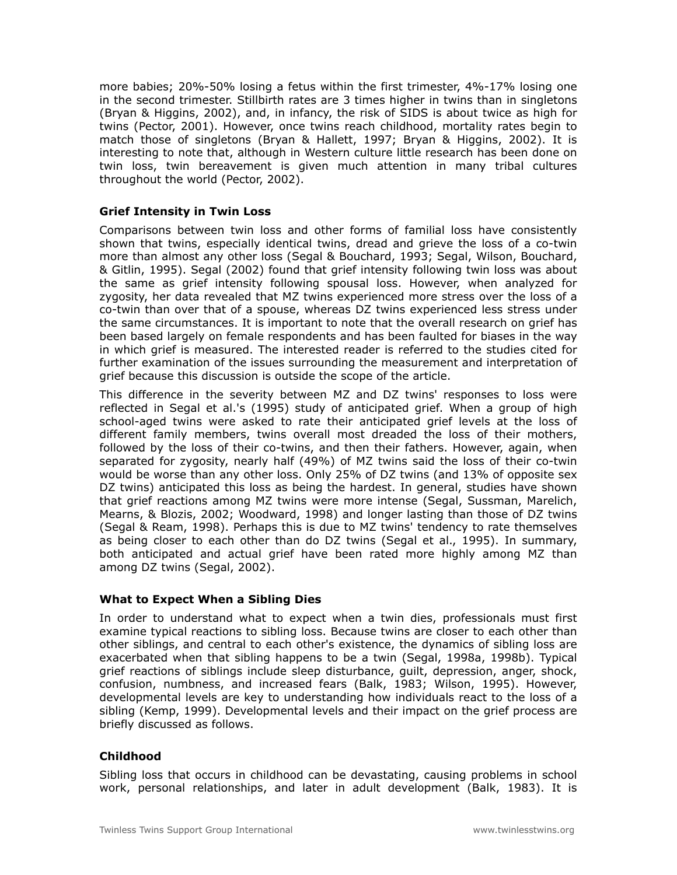more babies; 20%-50% losing a fetus within the first trimester, 4%-17% losing one in the second trimester. Stillbirth rates are 3 times higher in twins than in singletons (Bryan & Higgins, 2002), and, in infancy, the risk of SIDS is about twice as high for twins (Pector, 2001). However, once twins reach childhood, mortality rates begin to match those of singletons (Bryan & Hallett, 1997; Bryan & Higgins, 2002). It is interesting to note that, although in Western culture little research has been done on twin loss, twin bereavement is given much attention in many tribal cultures throughout the world (Pector, 2002).

### **Grief Intensity in Twin Loss**

Comparisons between twin loss and other forms of familial loss have consistently shown that twins, especially identical twins, dread and grieve the loss of a co-twin more than almost any other loss (Segal & Bouchard, 1993; Segal, Wilson, Bouchard, & Gitlin, 1995). Segal (2002) found that grief intensity following twin loss was about the same as grief intensity following spousal loss. However, when analyzed for zygosity, her data revealed that MZ twins experienced more stress over the loss of a co-twin than over that of a spouse, whereas DZ twins experienced less stress under the same circumstances. It is important to note that the overall research on grief has been based largely on female respondents and has been faulted for biases in the way in which grief is measured. The interested reader is referred to the studies cited for further examination of the issues surrounding the measurement and interpretation of grief because this discussion is outside the scope of the article.

This difference in the severity between MZ and DZ twins' responses to loss were reflected in Segal et al.'s (1995) study of anticipated grief. When a group of high school-aged twins were asked to rate their anticipated grief levels at the loss of different family members, twins overall most dreaded the loss of their mothers, followed by the loss of their co-twins, and then their fathers. However, again, when separated for zygosity, nearly half (49%) of MZ twins said the loss of their co-twin would be worse than any other loss. Only 25% of DZ twins (and 13% of opposite sex DZ twins) anticipated this loss as being the hardest. In general, studies have shown that grief reactions among MZ twins were more intense (Segal, Sussman, Marelich, Mearns, & Blozis, 2002; Woodward, 1998) and longer lasting than those of DZ twins (Segal & Ream, 1998). Perhaps this is due to MZ twins' tendency to rate themselves as being closer to each other than do DZ twins (Segal et al., 1995). In summary, both anticipated and actual grief have been rated more highly among MZ than among DZ twins (Segal, 2002).

# **What to Expect When a Sibling Dies**

In order to understand what to expect when a twin dies, professionals must first examine typical reactions to sibling loss. Because twins are closer to each other than other siblings, and central to each other's existence, the dynamics of sibling loss are exacerbated when that sibling happens to be a twin (Segal, 1998a, 1998b). Typical grief reactions of siblings include sleep disturbance, guilt, depression, anger, shock, confusion, numbness, and increased fears (Balk, 1983; Wilson, 1995). However, developmental levels are key to understanding how individuals react to the loss of a sibling (Kemp, 1999). Developmental levels and their impact on the grief process are briefly discussed as follows.

# **Childhood**

Sibling loss that occurs in childhood can be devastating, causing problems in school work, personal relationships, and later in adult development (Balk, 1983). It is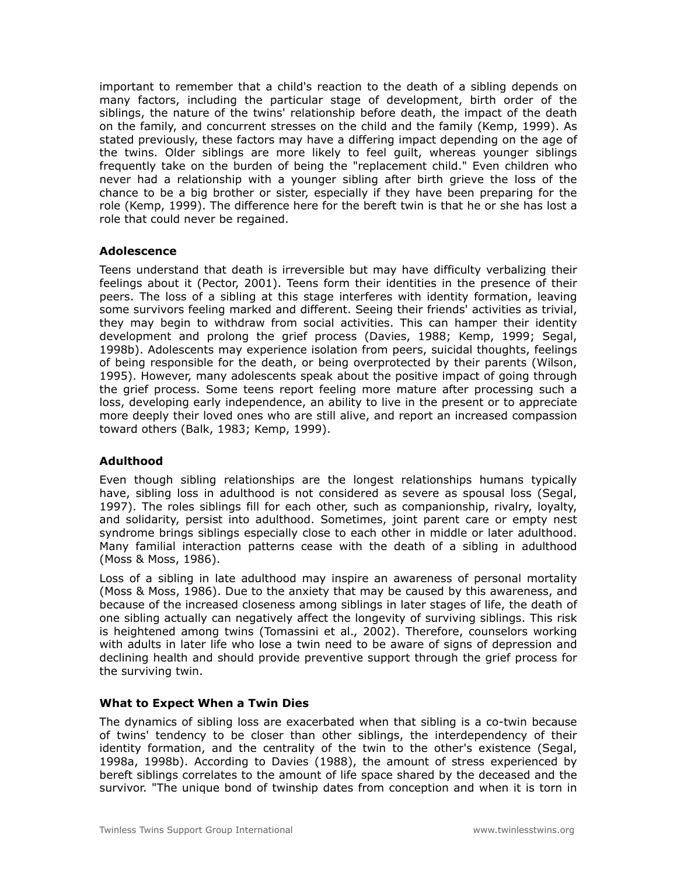important to remember that a child's reaction to the death of a sibling depends on many factors, including the particular stage of development, birth order of the siblings, the nature of the twins' relationship before death, the impact of the death on the family, and concurrent stresses on the child and the family (Kemp, 1999). As stated previously, these factors may have a differing impact depending on the age of the twins. Older siblings are more likely to feel guilt, whereas younger siblings frequently take on the burden of being the "replacement child." Even children who never had a relationship with a younger sibling after birth grieve the loss of the chance to be a big brother or sister, especially if they have been preparing for the role (Kemp, 1999). The difference here for the bereft twin is that he or she has lost a role that could never be regained.

### **Adolescence**

Teens understand that death is irreversible but may have difficulty verbalizing their feelings about it (Pector, 2001). Teens form their identities in the presence of their peers. The loss of a sibling at this stage interferes with identity formation, leaving some survivors feeling marked and different. Seeing their friends' activities as trivial, they may begin to withdraw from social activities. This can hamper their identity development and prolong the grief process (Davies, 1988; Kemp, 1999; Segal, 1998b). Adolescents may experience isolation from peers, suicidal thoughts, feelings of being responsible for the death, or being overprotected by their parents (Wilson, 1995). However, many adolescents speak about the positive impact of going through the grief process. Some teens report feeling more mature after processing such a loss, developing early independence, an ability to live in the present or to appreciate more deeply their loved ones who are still alive, and report an increased compassion toward others (Balk, 1983; Kemp, 1999).

### **Adulthood**

Even though sibling relationships are the longest relationships humans typically have, sibling loss in adulthood is not considered as severe as spousal loss (Segal, 1997). The roles siblings fill for each other, such as companionship, rivalry, loyalty, and solidarity, persist into adulthood. Sometimes, joint parent care or empty nest syndrome brings siblings especially close to each other in middle or later adulthood. Many familial interaction patterns cease with the death of a sibling in adulthood (Moss & Moss, 1986).

Loss of a sibling in late adulthood may inspire an awareness of personal mortality (Moss & Moss, 1986). Due to the anxiety that may be caused by this awareness, and because of the increased closeness among siblings in later stages of life, the death of one sibling actually can negatively affect the longevity of surviving siblings. This risk is heightened among twins (Tomassini et al., 2002). Therefore, counselors working with adults in later life who lose a twin need to be aware of signs of depression and declining health and should provide preventive support through the grief process for the surviving twin.

### **What to Expect When a Twin Dies**

The dynamics of sibling loss are exacerbated when that sibling is a co-twin because of twins' tendency to be closer than other siblings, the interdependency of their identity formation, and the centrality of the twin to the other's existence (Segal, 1998a, 1998b). According to Davies (1988), the amount of stress experienced by bereft siblings correlates to the amount of life space shared by the deceased and the survivor. "The unique bond of twinship dates from conception and when it is torn in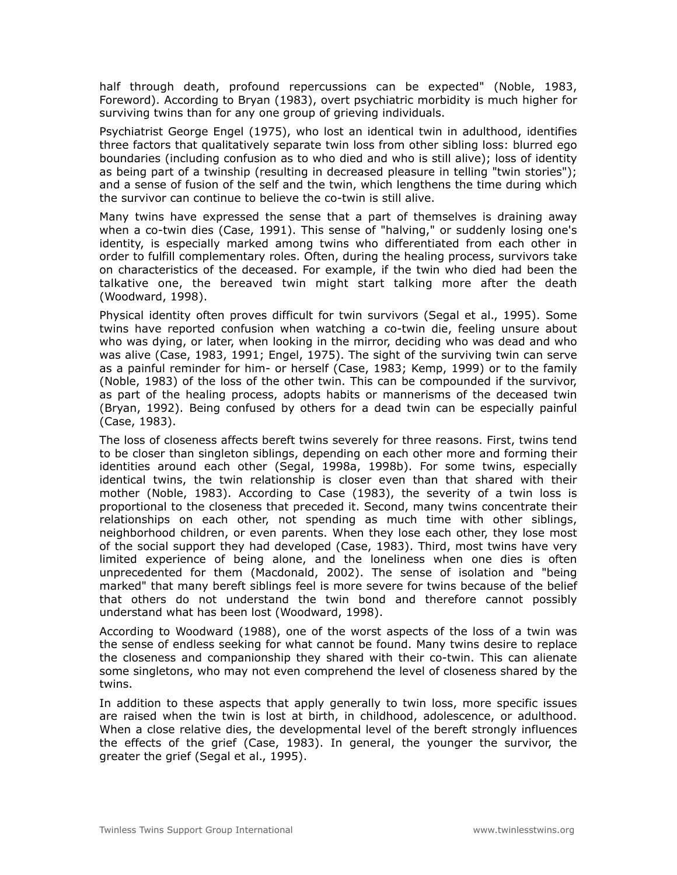half through death, profound repercussions can be expected" (Noble, 1983, Foreword). According to Bryan (1983), overt psychiatric morbidity is much higher for surviving twins than for any one group of grieving individuals.

Psychiatrist George Engel (1975), who lost an identical twin in adulthood, identifies three factors that qualitatively separate twin loss from other sibling loss: blurred ego boundaries (including confusion as to who died and who is still alive); loss of identity as being part of a twinship (resulting in decreased pleasure in telling "twin stories"); and a sense of fusion of the self and the twin, which lengthens the time during which the survivor can continue to believe the co-twin is still alive.

Many twins have expressed the sense that a part of themselves is draining away when a co-twin dies (Case, 1991). This sense of "halving," or suddenly losing one's identity, is especially marked among twins who differentiated from each other in order to fulfill complementary roles. Often, during the healing process, survivors take on characteristics of the deceased. For example, if the twin who died had been the talkative one, the bereaved twin might start talking more after the death (Woodward, 1998).

Physical identity often proves difficult for twin survivors (Segal et al., 1995). Some twins have reported confusion when watching a co-twin die, feeling unsure about who was dying, or later, when looking in the mirror, deciding who was dead and who was alive (Case, 1983, 1991; Engel, 1975). The sight of the surviving twin can serve as a painful reminder for him- or herself (Case, 1983; Kemp, 1999) or to the family (Noble, 1983) of the loss of the other twin. This can be compounded if the survivor, as part of the healing process, adopts habits or mannerisms of the deceased twin (Bryan, 1992). Being confused by others for a dead twin can be especially painful (Case, 1983).

The loss of closeness affects bereft twins severely for three reasons. First, twins tend to be closer than singleton siblings, depending on each other more and forming their identities around each other (Segal, 1998a, 1998b). For some twins, especially identical twins, the twin relationship is closer even than that shared with their mother (Noble, 1983). According to Case (1983), the severity of a twin loss is proportional to the closeness that preceded it. Second, many twins concentrate their relationships on each other, not spending as much time with other siblings, neighborhood children, or even parents. When they lose each other, they lose most of the social support they had developed (Case, 1983). Third, most twins have very limited experience of being alone, and the loneliness when one dies is often unprecedented for them (Macdonald, 2002). The sense of isolation and "being marked" that many bereft siblings feel is more severe for twins because of the belief that others do not understand the twin bond and therefore cannot possibly understand what has been lost (Woodward, 1998).

According to Woodward (1988), one of the worst aspects of the loss of a twin was the sense of endless seeking for what cannot be found. Many twins desire to replace the closeness and companionship they shared with their co-twin. This can alienate some singletons, who may not even comprehend the level of closeness shared by the twins.

In addition to these aspects that apply generally to twin loss, more specific issues are raised when the twin is lost at birth, in childhood, adolescence, or adulthood. When a close relative dies, the developmental level of the bereft strongly influences the effects of the grief (Case, 1983). In general, the younger the survivor, the greater the grief (Segal et al., 1995).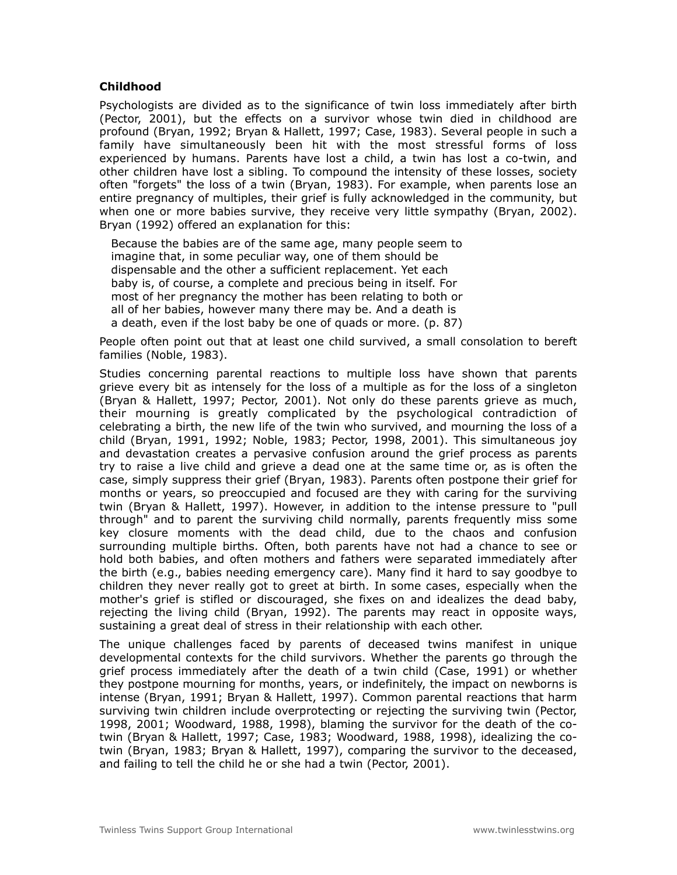### **Childhood**

Psychologists are divided as to the significance of twin loss immediately after birth (Pector, 2001), but the effects on a survivor whose twin died in childhood are profound (Bryan, 1992; Bryan & Hallett, 1997; Case, 1983). Several people in such a family have simultaneously been hit with the most stressful forms of loss experienced by humans. Parents have lost a child, a twin has lost a co-twin, and other children have lost a sibling. To compound the intensity of these losses, society often "forgets" the loss of a twin (Bryan, 1983). For example, when parents lose an entire pregnancy of multiples, their grief is fully acknowledged in the community, but when one or more babies survive, they receive very little sympathy (Bryan, 2002). Bryan (1992) offered an explanation for this:

 Because the babies are of the same age, many people seem to imagine that, in some peculiar way, one of them should be dispensable and the other a sufficient replacement. Yet each baby is, of course, a complete and precious being in itself. For most of her pregnancy the mother has been relating to both or all of her babies, however many there may be. And a death is a death, even if the lost baby be one of quads or more. (p. 87)

People often point out that at least one child survived, a small consolation to bereft families (Noble, 1983).

Studies concerning parental reactions to multiple loss have shown that parents grieve every bit as intensely for the loss of a multiple as for the loss of a singleton (Bryan & Hallett, 1997; Pector, 2001). Not only do these parents grieve as much, their mourning is greatly complicated by the psychological contradiction of celebrating a birth, the new life of the twin who survived, and mourning the loss of a child (Bryan, 1991, 1992; Noble, 1983; Pector, 1998, 2001). This simultaneous joy and devastation creates a pervasive confusion around the grief process as parents try to raise a live child and grieve a dead one at the same time or, as is often the case, simply suppress their grief (Bryan, 1983). Parents often postpone their grief for months or years, so preoccupied and focused are they with caring for the surviving twin (Bryan & Hallett, 1997). However, in addition to the intense pressure to "pull through" and to parent the surviving child normally, parents frequently miss some key closure moments with the dead child, due to the chaos and confusion surrounding multiple births. Often, both parents have not had a chance to see or hold both babies, and often mothers and fathers were separated immediately after the birth (e.g., babies needing emergency care). Many find it hard to say goodbye to children they never really got to greet at birth. In some cases, especially when the mother's grief is stifled or discouraged, she fixes on and idealizes the dead baby, rejecting the living child (Bryan, 1992). The parents may react in opposite ways, sustaining a great deal of stress in their relationship with each other.

The unique challenges faced by parents of deceased twins manifest in unique developmental contexts for the child survivors. Whether the parents go through the grief process immediately after the death of a twin child (Case, 1991) or whether they postpone mourning for months, years, or indefinitely, the impact on newborns is intense (Bryan, 1991; Bryan & Hallett, 1997). Common parental reactions that harm surviving twin children include overprotecting or rejecting the surviving twin (Pector, 1998, 2001; Woodward, 1988, 1998), blaming the survivor for the death of the cotwin (Bryan & Hallett, 1997; Case, 1983; Woodward, 1988, 1998), idealizing the cotwin (Bryan, 1983; Bryan & Hallett, 1997), comparing the survivor to the deceased, and failing to tell the child he or she had a twin (Pector, 2001).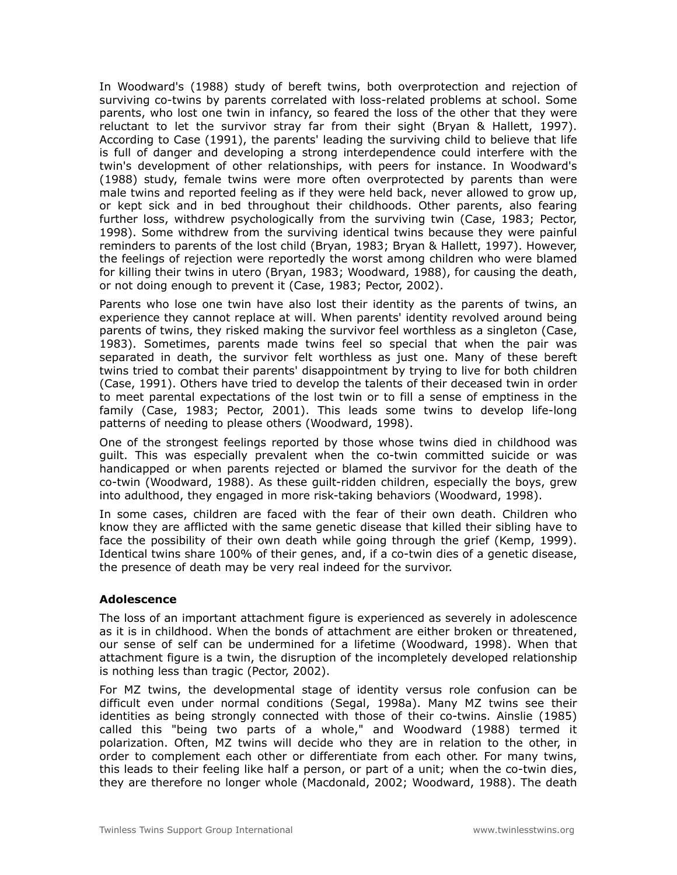In Woodward's (1988) study of bereft twins, both overprotection and rejection of surviving co-twins by parents correlated with loss-related problems at school. Some parents, who lost one twin in infancy, so feared the loss of the other that they were reluctant to let the survivor stray far from their sight (Bryan & Hallett, 1997). According to Case (1991), the parents' leading the surviving child to believe that life is full of danger and developing a strong interdependence could interfere with the twin's development of other relationships, with peers for instance. In Woodward's (1988) study, female twins were more often overprotected by parents than were male twins and reported feeling as if they were held back, never allowed to grow up, or kept sick and in bed throughout their childhoods. Other parents, also fearing further loss, withdrew psychologically from the surviving twin (Case, 1983; Pector, 1998). Some withdrew from the surviving identical twins because they were painful reminders to parents of the lost child (Bryan, 1983; Bryan & Hallett, 1997). However, the feelings of rejection were reportedly the worst among children who were blamed for killing their twins in utero (Bryan, 1983; Woodward, 1988), for causing the death, or not doing enough to prevent it (Case, 1983; Pector, 2002).

Parents who lose one twin have also lost their identity as the parents of twins, an experience they cannot replace at will. When parents' identity revolved around being parents of twins, they risked making the survivor feel worthless as a singleton (Case, 1983). Sometimes, parents made twins feel so special that when the pair was separated in death, the survivor felt worthless as just one. Many of these bereft twins tried to combat their parents' disappointment by trying to live for both children (Case, 1991). Others have tried to develop the talents of their deceased twin in order to meet parental expectations of the lost twin or to fill a sense of emptiness in the family (Case, 1983; Pector, 2001). This leads some twins to develop life-long patterns of needing to please others (Woodward, 1998).

One of the strongest feelings reported by those whose twins died in childhood was guilt. This was especially prevalent when the co-twin committed suicide or was handicapped or when parents rejected or blamed the survivor for the death of the co-twin (Woodward, 1988). As these guilt-ridden children, especially the boys, grew into adulthood, they engaged in more risk-taking behaviors (Woodward, 1998).

In some cases, children are faced with the fear of their own death. Children who know they are afflicted with the same genetic disease that killed their sibling have to face the possibility of their own death while going through the grief (Kemp, 1999). Identical twins share 100% of their genes, and, if a co-twin dies of a genetic disease, the presence of death may be very real indeed for the survivor.

### **Adolescence**

The loss of an important attachment figure is experienced as severely in adolescence as it is in childhood. When the bonds of attachment are either broken or threatened, our sense of self can be undermined for a lifetime (Woodward, 1998). When that attachment figure is a twin, the disruption of the incompletely developed relationship is nothing less than tragic (Pector, 2002).

For MZ twins, the developmental stage of identity versus role confusion can be difficult even under normal conditions (Segal, 1998a). Many MZ twins see their identities as being strongly connected with those of their co-twins. Ainslie (1985) called this "being two parts of a whole," and Woodward (1988) termed it polarization. Often, MZ twins will decide who they are in relation to the other, in order to complement each other or differentiate from each other. For many twins, this leads to their feeling like half a person, or part of a unit; when the co-twin dies, they are therefore no longer whole (Macdonald, 2002; Woodward, 1988). The death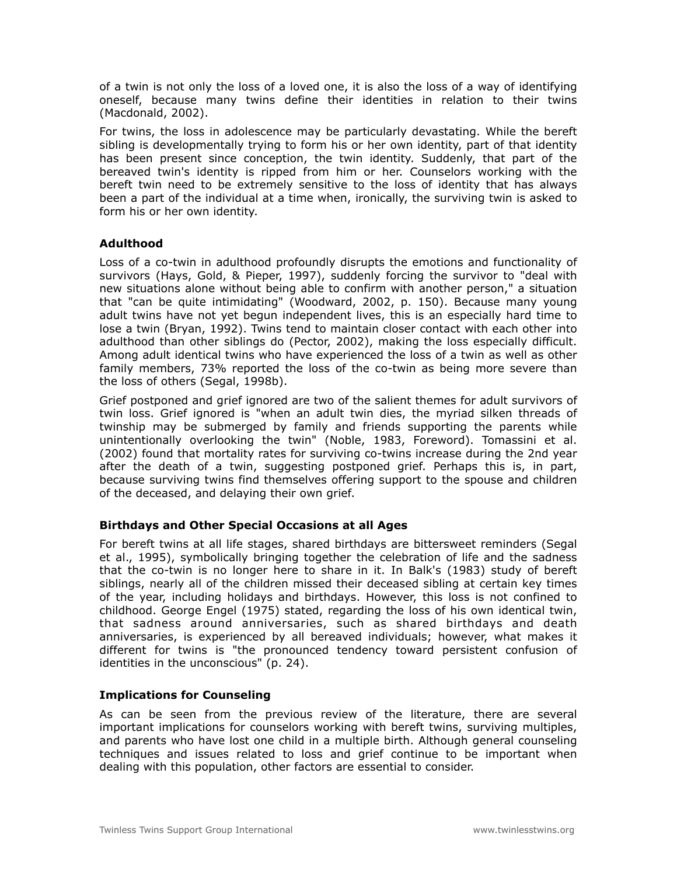of a twin is not only the loss of a loved one, it is also the loss of a way of identifying oneself, because many twins define their identities in relation to their twins (Macdonald, 2002).

For twins, the loss in adolescence may be particularly devastating. While the bereft sibling is developmentally trying to form his or her own identity, part of that identity has been present since conception, the twin identity. Suddenly, that part of the bereaved twin's identity is ripped from him or her. Counselors working with the bereft twin need to be extremely sensitive to the loss of identity that has always been a part of the individual at a time when, ironically, the surviving twin is asked to form his or her own identity.

# **Adulthood**

Loss of a co-twin in adulthood profoundly disrupts the emotions and functionality of survivors (Hays, Gold, & Pieper, 1997), suddenly forcing the survivor to "deal with new situations alone without being able to confirm with another person," a situation that "can be quite intimidating" (Woodward, 2002, p. 150). Because many young adult twins have not yet begun independent lives, this is an especially hard time to lose a twin (Bryan, 1992). Twins tend to maintain closer contact with each other into adulthood than other siblings do (Pector, 2002), making the loss especially difficult. Among adult identical twins who have experienced the loss of a twin as well as other family members, 73% reported the loss of the co-twin as being more severe than the loss of others (Segal, 1998b).

Grief postponed and grief ignored are two of the salient themes for adult survivors of twin loss. Grief ignored is "when an adult twin dies, the myriad silken threads of twinship may be submerged by family and friends supporting the parents while unintentionally overlooking the twin" (Noble, 1983, Foreword). Tomassini et al. (2002) found that mortality rates for surviving co-twins increase during the 2nd year after the death of a twin, suggesting postponed grief. Perhaps this is, in part, because surviving twins find themselves offering support to the spouse and children of the deceased, and delaying their own grief.

# **Birthdays and Other Special Occasions at all Ages**

For bereft twins at all life stages, shared birthdays are bittersweet reminders (Segal et al., 1995), symbolically bringing together the celebration of life and the sadness that the co-twin is no longer here to share in it. In Balk's (1983) study of bereft siblings, nearly all of the children missed their deceased sibling at certain key times of the year, including holidays and birthdays. However, this loss is not confined to childhood. George Engel (1975) stated, regarding the loss of his own identical twin, that sadness around anniversaries, such as shared birthdays and death anniversaries, is experienced by all bereaved individuals; however, what makes it different for twins is "the pronounced tendency toward persistent confusion of identities in the unconscious" (p. 24).

### **Implications for Counseling**

As can be seen from the previous review of the literature, there are several important implications for counselors working with bereft twins, surviving multiples, and parents who have lost one child in a multiple birth. Although general counseling techniques and issues related to loss and grief continue to be important when dealing with this population, other factors are essential to consider.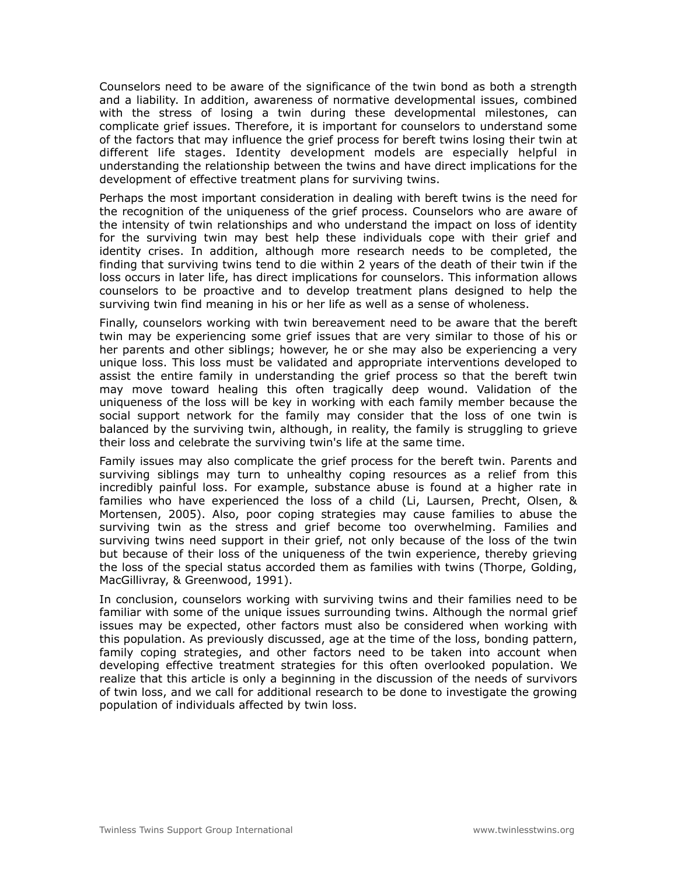Counselors need to be aware of the significance of the twin bond as both a strength and a liability. In addition, awareness of normative developmental issues, combined with the stress of losing a twin during these developmental milestones, can complicate grief issues. Therefore, it is important for counselors to understand some of the factors that may influence the grief process for bereft twins losing their twin at different life stages. Identity development models are especially helpful in understanding the relationship between the twins and have direct implications for the development of effective treatment plans for surviving twins.

Perhaps the most important consideration in dealing with bereft twins is the need for the recognition of the uniqueness of the grief process. Counselors who are aware of the intensity of twin relationships and who understand the impact on loss of identity for the surviving twin may best help these individuals cope with their grief and identity crises. In addition, although more research needs to be completed, the finding that surviving twins tend to die within 2 years of the death of their twin if the loss occurs in later life, has direct implications for counselors. This information allows counselors to be proactive and to develop treatment plans designed to help the surviving twin find meaning in his or her life as well as a sense of wholeness.

Finally, counselors working with twin bereavement need to be aware that the bereft twin may be experiencing some grief issues that are very similar to those of his or her parents and other siblings; however, he or she may also be experiencing a very unique loss. This loss must be validated and appropriate interventions developed to assist the entire family in understanding the grief process so that the bereft twin may move toward healing this often tragically deep wound. Validation of the uniqueness of the loss will be key in working with each family member because the social support network for the family may consider that the loss of one twin is balanced by the surviving twin, although, in reality, the family is struggling to grieve their loss and celebrate the surviving twin's life at the same time.

Family issues may also complicate the grief process for the bereft twin. Parents and surviving siblings may turn to unhealthy coping resources as a relief from this incredibly painful loss. For example, substance abuse is found at a higher rate in families who have experienced the loss of a child (Li, Laursen, Precht, Olsen, & Mortensen, 2005). Also, poor coping strategies may cause families to abuse the surviving twin as the stress and grief become too overwhelming. Families and surviving twins need support in their grief, not only because of the loss of the twin but because of their loss of the uniqueness of the twin experience, thereby grieving the loss of the special status accorded them as families with twins (Thorpe, Golding, MacGillivray, & Greenwood, 1991).

In conclusion, counselors working with surviving twins and their families need to be familiar with some of the unique issues surrounding twins. Although the normal grief issues may be expected, other factors must also be considered when working with this population. As previously discussed, age at the time of the loss, bonding pattern, family coping strategies, and other factors need to be taken into account when developing effective treatment strategies for this often overlooked population. We realize that this article is only a beginning in the discussion of the needs of survivors of twin loss, and we call for additional research to be done to investigate the growing population of individuals affected by twin loss.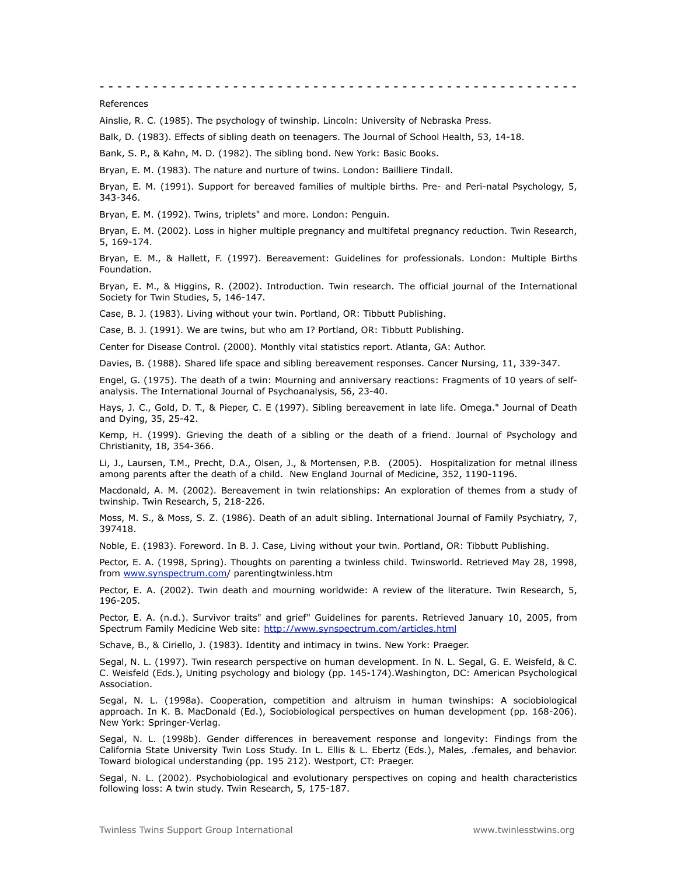- - - - - - - - - - - - - - - - - - - - - - - - - - - - - - - - - - - - - - - - - - - - - - - - - - - - - -

References

Ainslie, R. C. (1985). The psychology of twinship. Lincoln: University of Nebraska Press.

Balk, D. (1983). Effects of sibling death on teenagers. The Journal of School Health, 53, 14-18.

Bank, S. P., & Kahn, M. D. (1982). The sibling bond. New York: Basic Books.

Bryan, E. M. (1983). The nature and nurture of twins. London: Bailliere Tindall.

Bryan, E. M. (1991). Support for bereaved families of multiple births. Pre- and Peri-natal Psychology, 5, 343-346.

Bryan, E. M. (1992). Twins, triplets" and more. London: Penguin.

Bryan, E. M. (2002). Loss in higher multiple pregnancy and multifetal pregnancy reduction. Twin Research, 5, 169-174.

Bryan, E. M., & Hallett, F. (1997). Bereavement: Guidelines for professionals. London: Multiple Births Foundation.

Bryan, E. M., & Higgins, R. (2002). Introduction. Twin research. The official journal of the International Society for Twin Studies, 5, 146-147.

Case, B. J. (1983). Living without your twin. Portland, OR: Tibbutt Publishing.

Case, B. J. (1991). We are twins, but who am I? Portland, OR: Tibbutt Publishing.

Center for Disease Control. (2000). Monthly vital statistics report. Atlanta, GA: Author.

Davies, B. (1988). Shared life space and sibling bereavement responses. Cancer Nursing, 11, 339-347.

Engel, G. (1975). The death of a twin: Mourning and anniversary reactions: Fragments of 10 years of selfanalysis. The International Journal of Psychoanalysis, 56, 23-40.

Hays, J. C., Gold, D. T., & Pieper, C. E (1997). Sibling bereavement in late life. Omega." Journal of Death and Dying, 35, 25-42.

Kemp, H. (1999). Grieving the death of a sibling or the death of a friend. Journal of Psychology and Christianity, 18, 354-366.

Li, J., Laursen, T.M., Precht, D.A., Olsen, J., & Mortensen, P.B. (2005). Hospitalization for metnal illness among parents after the death of a child. New England Journal of Medicine, 352, 1190-1196.

Macdonald, A. M. (2002). Bereavement in twin relationships: An exploration of themes from a study of twinship. Twin Research, 5, 218-226.

Moss, M. S., & Moss, S. Z. (1986). Death of an adult sibling. International Journal of Family Psychiatry, 7, 397418.

Noble, E. (1983). Foreword. In B. J. Case, Living without your twin. Portland, OR: Tibbutt Publishing.

Pector, E. A. (1998, Spring). Thoughts on parenting a twinless child. Twinsworld. Retrieved May 28, 1998, from [www.synspectrum.com](http://www.synspectrum.com)/ parentingtwinless.htm

Pector, E. A. (2002). Twin death and mourning worldwide: A review of the literature. Twin Research, 5, 196-205.

Pector, E. A. (n.d.). Survivor traits" and grief" Guidelines for parents. Retrieved January 10, 2005, from Spectrum Family Medicine Web site: <http://www.synspectrum.com/articles.html>

Schave, B., & Ciriello, J. (1983). Identity and intimacy in twins. New York: Praeger.

Segal, N. L. (1997). Twin research perspective on human development. In N. L. Segal, G. E. Weisfeld, & C. C. Weisfeld (Eds.), Uniting psychology and biology (pp. 145-174).Washington, DC: American Psychological Association.

Segal, N. L. (1998a). Cooperation, competition and altruism in human twinships: A sociobiological approach. In K. B. MacDonald (Ed.), Sociobiological perspectives on human development (pp. 168-206). New York: Springer-Verlag.

Segal, N. L. (1998b). Gender differences in bereavement response and longevity: Findings from the California State University Twin Loss Study. In L. Ellis & L. Ebertz (Eds.), Males, .females, and behavior. Toward biological understanding (pp. 195 212). Westport, CT: Praeger.

Segal, N. L. (2002). Psychobiological and evolutionary perspectives on coping and health characteristics following loss: A twin study. Twin Research, 5, 175-187.